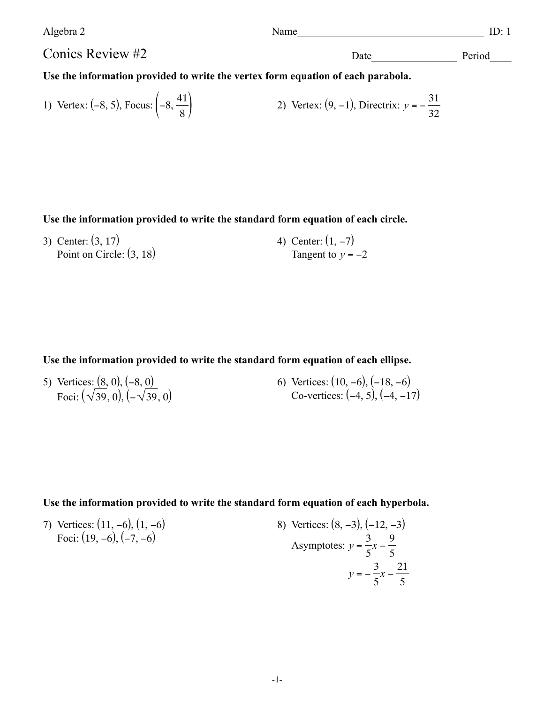| Algebra 2                                                                        | Name | ID·1   |
|----------------------------------------------------------------------------------|------|--------|
| Conics Review #2                                                                 | Date | Period |
| Use the information provided to write the vertex form equation of each parabola. |      |        |

1) Vertex: (-8, 5), Focus: 
$$
\left(-8, \frac{41}{8}\right)
$$
 2) Vertex: (9, -1), Directrix:  $y = -\frac{31}{32}$ 

**Use the information provided to write the standard form equation of each circle.**

3) Center: (3, 17) Point on Circle:  $(3, 18)$ 4) Center:  $(1, -7)$ Tangent to  $y = -2$ 

**Use the information provided to write the standard form equation of each ellipse.**

5) Vertices:  $(8, 0)$ ,  $(-8, 0)$ Foci:  $(\sqrt{39},0), (-\sqrt{39},0)$  6) Vertices: (10, −6), (−18, −6) Co-vertices: (−4, 5), (−4, −17)

**Use the information provided to write the standard form equation of each hyperbola.**

7) Vertices: (11, -6), (1, -6)  
\nFoci: (19, -6), (-7, -6)  
\n
$$
y = -\frac{3}{5}x - \frac{9}{5}
$$
\n
$$
y = -\frac{3}{5}x - \frac{21}{5}
$$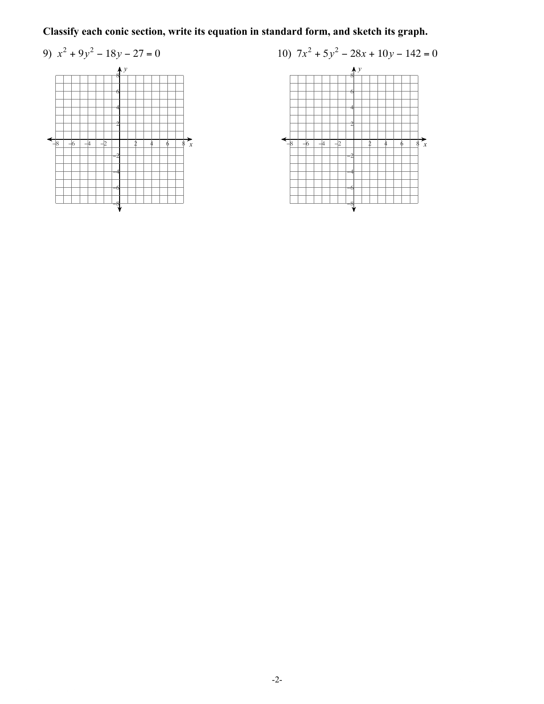Classify each conic section, write its equation in standard form, and sketch its graph.



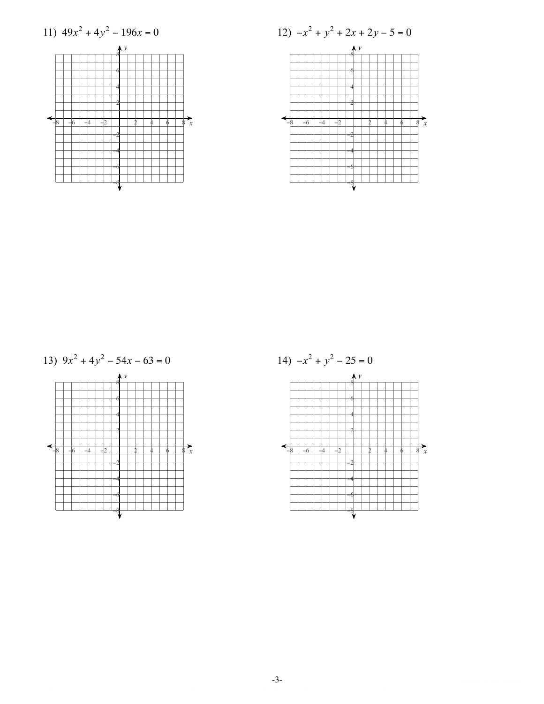

13)  $9x^2 + 4y^2 - 54x - 63 = 0$ 



14)  $-x^2 + y^2 - 25 = 0$  $\mathbf{A}$  $\overrightarrow{\mathcal{E}}_x$  $\overline{+}$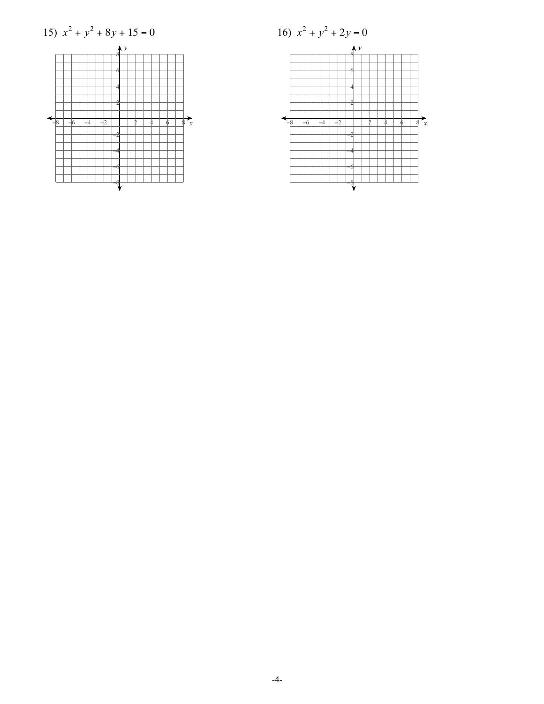15) 
$$
x^2 + y^2 + 8y + 15 = 0
$$



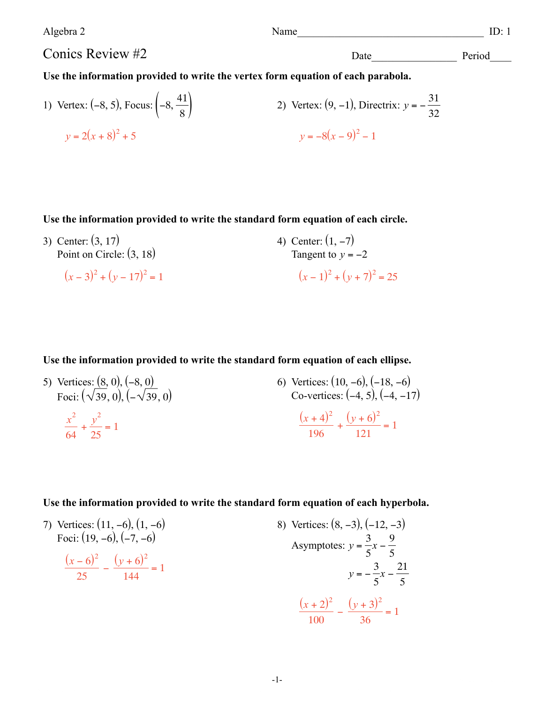Algebra 2 Name **ID:** 1

Conics Review #2

Date Period

## **Use the information provided to write the vertex form equation of each parabola.**

1) Vertex: (-8, 5), Focus: 
$$
\left(-8, \frac{41}{8}\right)
$$
  
\n2) Vertex: (9, -1), Directrix:  $y = -\frac{31}{32}$   
\n $y = 2(x + 8)^2 + 5$   
\n3)  $y = -8(x - 9)^2 - 1$ 

## **Use the information provided to write the standard form equation of each circle.**

3) Center: (3, 17) Point on Circle:  $(3, 18)$  $(x-3)^2 + (y-17)^2 = 1$ 4) Center:  $(1, -7)$ Tangent to  $y = -2$  $(x-1)^2 + (y+7)^2 = 25$ 

## **Use the information provided to write the standard form equation of each ellipse.**

5) Vertices:  $(8, 0)$ ,  $(-8, 0)$ Foci:  $(\sqrt{39},0), (-\sqrt{39},0)$ *x* 2 64  $+\frac{y^{2}}{25}$  $\frac{2}{25}$  = 1 6) Vertices: (10, −6), (−18, −6) Co-vertices: (−4, 5), (−4, −17)  $(x + 4)^2$ 196  $+\frac{(y+6)^2}{121}$  $\frac{1}{121}$  = 1

## **Use the information provided to write the standard form equation of each hyperbola.**

7) Vertices: (11, -6), (1, -6)  
\nFoci: (19, -6), (-7, -6)  
\n
$$
\frac{(x-6)^2}{25} - \frac{(y+6)^2}{144} = 1
$$
\n8) Vertices: (8, -3), (-12, -3)  
\nAsymptotes:  $y = \frac{3}{5}x - \frac{9}{5}$   
\n $y = -\frac{3}{5}x - \frac{21}{5}$   
\n
$$
\frac{(x+2)^2}{100} - \frac{(y+3)^2}{36} = 1
$$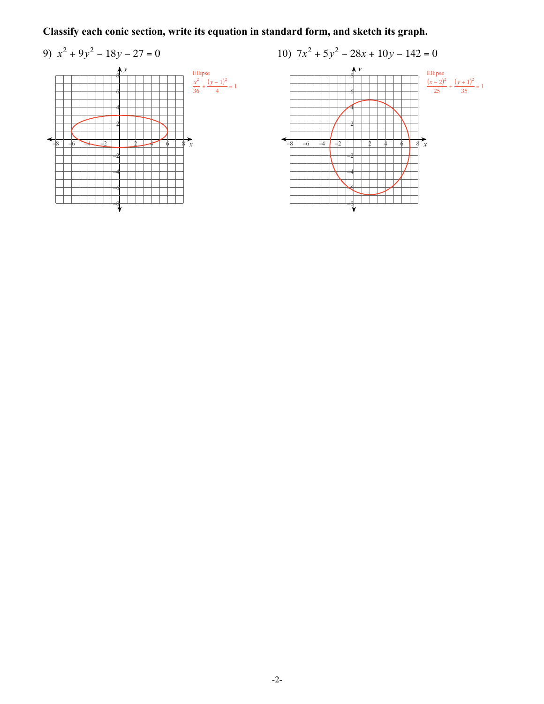Classify each conic section, write its equation in standard form, and sketch its graph.



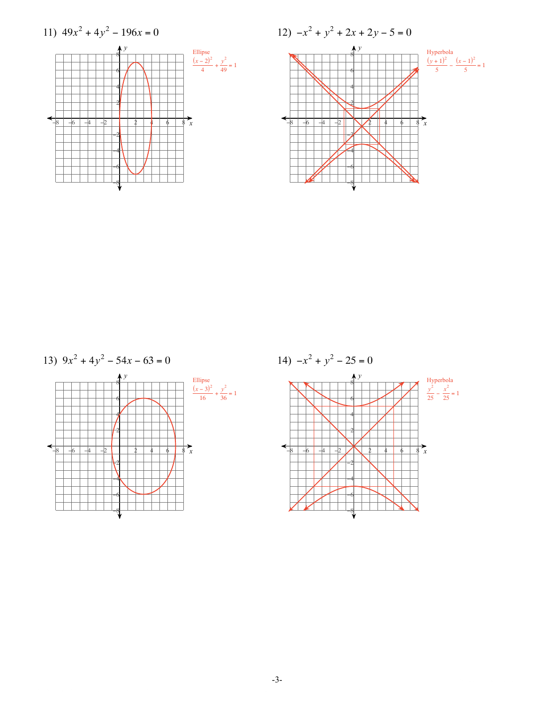$$
13) \ \ 9x^2 + 4y^2 - 54x - 63 = 0
$$